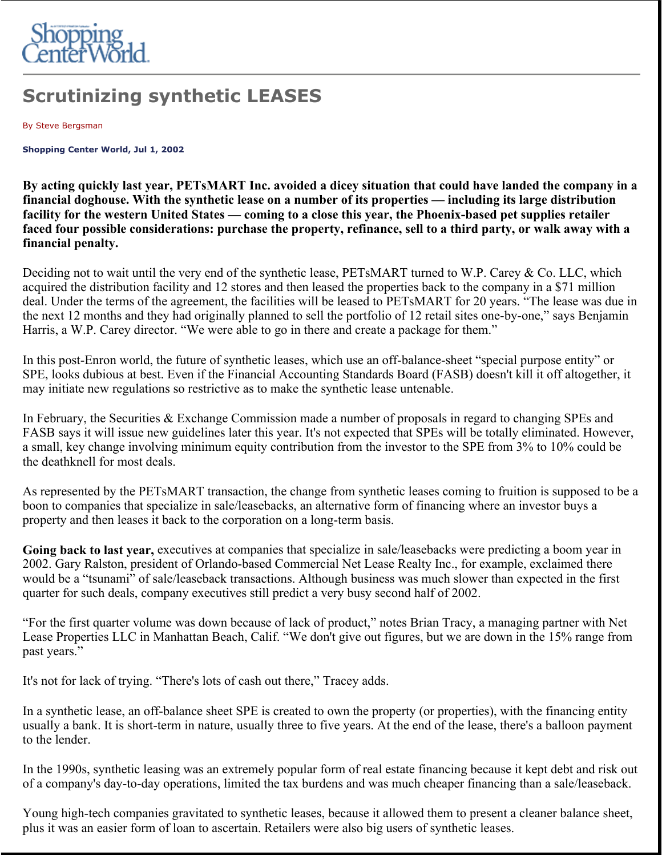

## **Scrutinizing synthetic LEASES**

By Steve Bergsman

**Shopping Center World, Jul 1, 2002** 

**By acting quickly last year, PETsMART Inc. avoided a dicey situation that could have landed the company in a financial doghouse. With the synthetic lease on a number of its properties — including its large distribution facility for the western United States — coming to a close this year, the Phoenix-based pet supplies retailer faced four possible considerations: purchase the property, refinance, sell to a third party, or walk away with a financial penalty.**

Deciding not to wait until the very end of the synthetic lease, PETsMART turned to W.P. Carey & Co. LLC, which acquired the distribution facility and 12 stores and then leased the properties back to the company in a \$71 million deal. Under the terms of the agreement, the facilities will be leased to PETsMART for 20 years. "The lease was due in the next 12 months and they had originally planned to sell the portfolio of 12 retail sites one-by-one," says Benjamin Harris, a W.P. Carey director. "We were able to go in there and create a package for them."

In this post-Enron world, the future of synthetic leases, which use an off-balance-sheet "special purpose entity" or SPE, looks dubious at best. Even if the Financial Accounting Standards Board (FASB) doesn't kill it off altogether, it may initiate new regulations so restrictive as to make the synthetic lease untenable.

In February, the Securities & Exchange Commission made a number of proposals in regard to changing SPEs and FASB says it will issue new guidelines later this year. It's not expected that SPEs will be totally eliminated. However, a small, key change involving minimum equity contribution from the investor to the SPE from 3% to 10% could be the deathknell for most deals.

As represented by the PETsMART transaction, the change from synthetic leases coming to fruition is supposed to be a boon to companies that specialize in sale/leasebacks, an alternative form of financing where an investor buys a property and then leases it back to the corporation on a long-term basis.

**Going back to last year,** executives at companies that specialize in sale/leasebacks were predicting a boom year in 2002. Gary Ralston, president of Orlando-based Commercial Net Lease Realty Inc., for example, exclaimed there would be a "tsunami" of sale/leaseback transactions. Although business was much slower than expected in the first quarter for such deals, company executives still predict a very busy second half of 2002.

"For the first quarter volume was down because of lack of product," notes Brian Tracy, a managing partner with Net Lease Properties LLC in Manhattan Beach, Calif. "We don't give out figures, but we are down in the 15% range from past years."

It's not for lack of trying. "There's lots of cash out there," Tracey adds.

In a synthetic lease, an off-balance sheet SPE is created to own the property (or properties), with the financing entity usually a bank. It is short-term in nature, usually three to five years. At the end of the lease, there's a balloon payment to the lender.

In the 1990s, synthetic leasing was an extremely popular form of real estate financing because it kept debt and risk out of a company's day-to-day operations, limited the tax burdens and was much cheaper financing than a sale/leaseback.

Young high-tech companies gravitated to synthetic leases, because it allowed them to present a cleaner balance sheet, plus it was an easier form of loan to ascertain. Retailers were also big users of synthetic leases.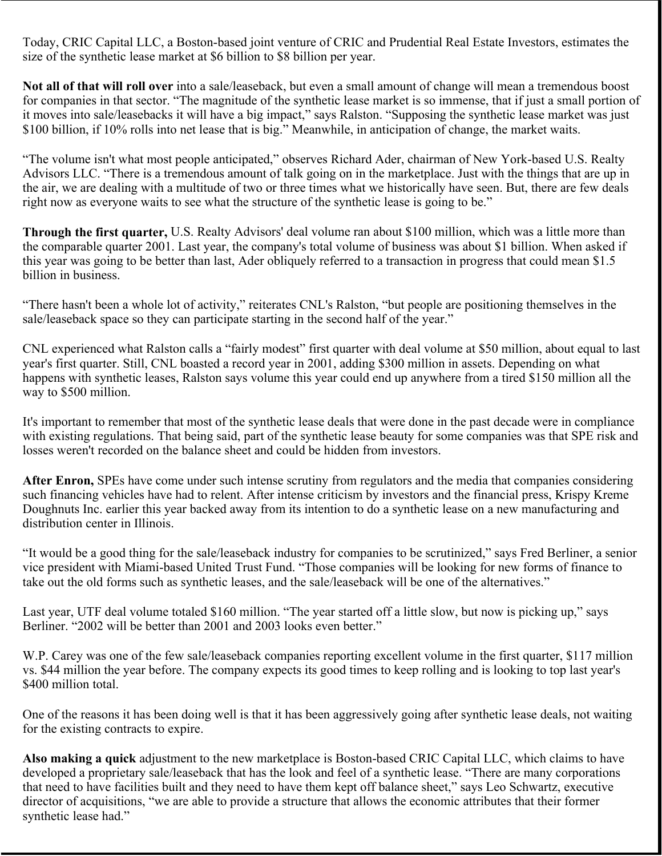Today, CRIC Capital LLC, a Boston-based joint venture of CRIC and Prudential Real Estate Investors, estimates the size of the synthetic lease market at \$6 billion to \$8 billion per year.

**Not all of that will roll over** into a sale/leaseback, but even a small amount of change will mean a tremendous boost for companies in that sector. "The magnitude of the synthetic lease market is so immense, that if just a small portion of it moves into sale/leasebacks it will have a big impact," says Ralston. "Supposing the synthetic lease market was just \$100 billion, if 10% rolls into net lease that is big." Meanwhile, in anticipation of change, the market waits.

"The volume isn't what most people anticipated," observes Richard Ader, chairman of New York-based U.S. Realty Advisors LLC. "There is a tremendous amount of talk going on in the marketplace. Just with the things that are up in the air, we are dealing with a multitude of two or three times what we historically have seen. But, there are few deals right now as everyone waits to see what the structure of the synthetic lease is going to be."

**Through the first quarter,** U.S. Realty Advisors' deal volume ran about \$100 million, which was a little more than the comparable quarter 2001. Last year, the company's total volume of business was about \$1 billion. When asked if this year was going to be better than last, Ader obliquely referred to a transaction in progress that could mean \$1.5 billion in business.

"There hasn't been a whole lot of activity," reiterates CNL's Ralston, "but people are positioning themselves in the sale/leaseback space so they can participate starting in the second half of the year."

CNL experienced what Ralston calls a "fairly modest" first quarter with deal volume at \$50 million, about equal to last year's first quarter. Still, CNL boasted a record year in 2001, adding \$300 million in assets. Depending on what happens with synthetic leases, Ralston says volume this year could end up anywhere from a tired \$150 million all the way to \$500 million.

It's important to remember that most of the synthetic lease deals that were done in the past decade were in compliance with existing regulations. That being said, part of the synthetic lease beauty for some companies was that SPE risk and losses weren't recorded on the balance sheet and could be hidden from investors.

**After Enron,** SPEs have come under such intense scrutiny from regulators and the media that companies considering such financing vehicles have had to relent. After intense criticism by investors and the financial press, Krispy Kreme Doughnuts Inc. earlier this year backed away from its intention to do a synthetic lease on a new manufacturing and distribution center in Illinois.

"It would be a good thing for the sale/leaseback industry for companies to be scrutinized," says Fred Berliner, a senior vice president with Miami-based United Trust Fund. "Those companies will be looking for new forms of finance to take out the old forms such as synthetic leases, and the sale/leaseback will be one of the alternatives."

Last year, UTF deal volume totaled \$160 million. "The year started off a little slow, but now is picking up," says Berliner. "2002 will be better than 2001 and 2003 looks even better."

W.P. Carey was one of the few sale/leaseback companies reporting excellent volume in the first quarter, \$117 million vs. \$44 million the year before. The company expects its good times to keep rolling and is looking to top last year's \$400 million total.

One of the reasons it has been doing well is that it has been aggressively going after synthetic lease deals, not waiting for the existing contracts to expire.

**Also making a quick** adjustment to the new marketplace is Boston-based CRIC Capital LLC, which claims to have developed a proprietary sale/leaseback that has the look and feel of a synthetic lease. "There are many corporations that need to have facilities built and they need to have them kept off balance sheet," says Leo Schwartz, executive director of acquisitions, "we are able to provide a structure that allows the economic attributes that their former synthetic lease had."